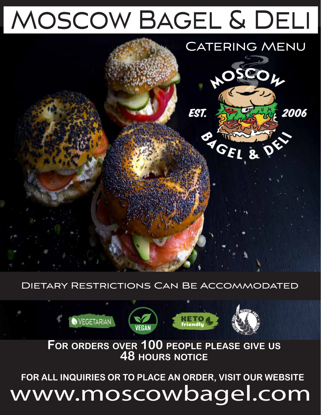# Moscow Bagel & Deli



### Dietary Restrictions Can Be Accommodated



**FOR ORDERS OVER 100 PEOPLE PLEASE GIVE US 48 HOURS NOTICE**

**FOR ALL INQUIRIES OR TO PLACE AN ORDER, VISIT OUR WEBSITE**

# www.moscowbagel.com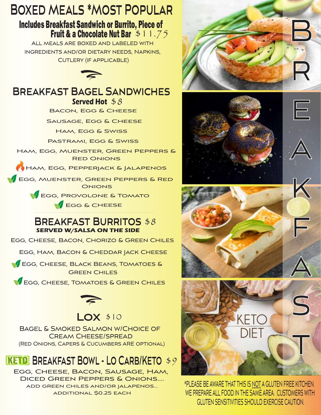### **Boxed Meals \*Most Popular**

## Includes Breakfast Sandwich or Burrito, Piece of<br>Fruit & a Chocolate Nut Bar \$11.75

All meals are boxed and labeled with ingredients and/or dietary needs, Napkins, Cutlery (if applicable)



### **Breakfast Bagel Sandwiches**

**Served Hot** \$8 BACON, EGG & CHEESE

SAUSAGE, EGG & CHEESE

Ham, Egg & Swiss

Pastrami, Egg & Swiss

Ham, Egg, Muenster, Green Peppers & Red Onions

Ham, Egg, Pepperjack & Jalapenos

**EGG, MUENSTER, GREEN PEPPERS & RED ONIONS** 

EGG, PROVOLONE & TOMATO

EGG & CHEESE

#### **SERVED W/SALSA ON THE SIDE Breakfast Burritos** \$8

Egg, Cheese, Bacon, Chorizo & Green Chiles

EGG, HAM, BACON & CHEDDAR JACK CHEESE

**EGG, CHEESE, BLACK BEANS, TOMATOES &** Green Chiles

**V** EGG, CHEESE, TOMATOES & GREEN CHILES



### **Lox** \$10

Bagel & Smoked Salmon w/Choice of Cream Cheese/spread (Red Onions, Capers & Cucumbers ARE optional)

### **KETO** BREAKFAST BOWL - LO CARB/KETO \$9

Egg, Cheese, Bacon, Sausage, Ham, Diced Green Peppers & Onions.... add green chiles and/or jalapenos... additional \$0.25 each



F

K

 $\overline{\phantom{a}}$ 







\*PLEASE BE AWARE THAT THIS IS NOT A GLUTEN FREE KITCHEN. WE PREPARE ALL FOOD IN THE SAME AREA. CUSTOMERS WITH GLUTEN SENSITIVITIES SHOULD EXERCISE CAUTION.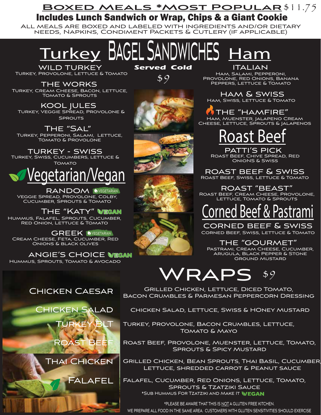### **Boxed Meals \*Most Popular** \$11.75 Includes Lunch Sandwich or Wrap, Chips & a Giant Cookie

All meals are boxed and labeled with ingredients and/or dietary needs, Napkins, Condiment Packets & Cutlery (if applicable)

<u>Turkey</u> BAGELSANDWICHES <u>Ham</u>

#### Turkey, Provolone, Lettuce & Tomato wild turkey

the works TURKEY, CREAM CHEESE, BACON, LETTUCE, Tomato & Sprouts

Turkey, Veggie Spread, Provolone & **SPROUTS** kool jules

Turkey, Pepperoni, Salami, Lettuce, Tomato & Provolone THE "SAL"<br>EPPERONI, SALAMI, LETTUCE, ROAST Beef

TURKEY - SWISS<br>TURKEY, SWISS, CUCUMBERS, LETTUCE & **TOMATO** 



RANDOM INVEGETARIAN<br>Veggie Spread, Provolone, Colby, Cucumber, Sprouts & Tomato

Hummus, Falafel, Sprouts, Cucumber, Red Onion, Lettuce & Tomato The "Katy"

**GREEK OVEGETARIAN** Cream Cheese, Feta, Cucumber, Red Onions & black olives

angie's choice <u>wegan</u> Hummus, Sprouts, Tomato & Avocado

\$9

Ham, Salami, Pepperoni, Provolone, Red Onions, Banana PEPPERS, LETTUCE & TOMATO **Served Cold italian** 

> ham & swiss Ham, Swiss, Lettuce & Tomato

 $\lambda$  THE "HAMFIRE" Ham, Muenster, Jalapeno Cream Cheese, Lettuce, Sprouts & Jalapenos

Roast Beef, Chive Spread, Red OnioNS & Swiss patti's pick

roast beef & swiss Roast Beef, Swiss, Lettuce & Tomato

ROAST "BEAST" Roast Beef, Cream Cheese, Provolone, Lettuce, Tomato & Sprouts

### ed Beef & Pastra

Corned Beef, Swiss, Lettuce & Tomato corned beef & swiss

THE "GOURMET" Pastrami, Cream Cheese, Cucumber, Arugula, Black Pepper & Stone Ground Mustard

### WRAPS \$9

### Chicken Caesar

Chicken Salad Turkey BLT Roast Beef



Falafel

Grilled Chicken, Lettuce, Diced Tomato, Bacon Crumbles & Parmesan Peppercorn Dressing

Chicken Salad, Lettuce, Swiss & HOney Mustard

Turkey, Provolone, Bacon Crumbles, Lettuce, Tomato & Mayo

Roast Beef, Provolone, Muenster, Lettuce, Tomato, Sprouts & Spicy Mustard

Grilled Chicken, Bean Sprouts, Thai Basil, Cucumber, Lettuce, shredded carrot & Peanut sauce

\*SUB HUMMUS FOR TZATZIKI AND MAKE IT WEGAN Falafel, Cucumber, Red Onions, Lettuce, Tomato, Sprouts & Tzatziki Sauce

\*PLEASE BE AWARE THAT THIS IS NOT A GLUTEN FREE KITCHEN. WE PREPARE ALL FOOD IN THE SAME AREA. CUSTOMERS WITH GLUTEN SENSITIVITIES SHOULD EXERCISE